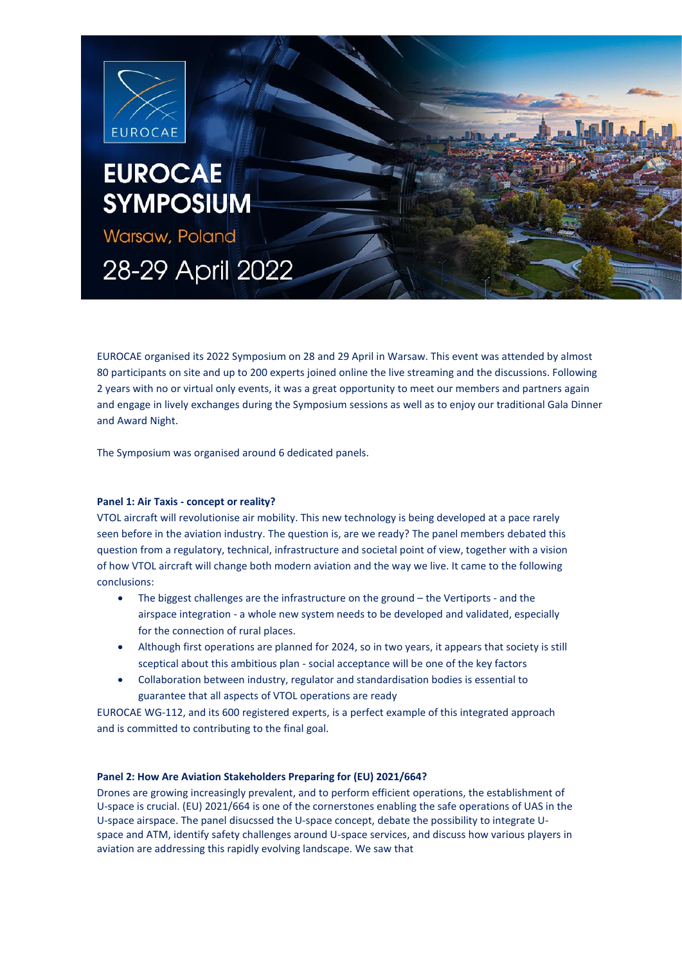

EUROCAE organised its 2022 Symposium on 28 and 29 April in Warsaw. This event was attended by almost 80 participants on site and up to 200 experts joined online the live streaming and the discussions. Following 2 years with no or virtual only events, it was a great opportunity to meet our members and partners again and engage in lively exchanges during the Symposium sessions as well as to enjoy our traditional Gala Dinner and Award Night.

The Symposium was organised around 6 dedicated panels.

## **Panel 1: Air Taxis - concept or reality?**

VTOL aircraft will revolutionise air mobility. This new technology is being developed at a pace rarely seen before in the aviation industry. The question is, are we ready? The panel members debated this question from a regulatory, technical, infrastructure and societal point of view, together with a vision of how VTOL aircraft will change both modern aviation and the way we live. It came to the following conclusions:

- The biggest challenges are the infrastructure on the ground the Vertiports and the airspace integration - a whole new system needs to be developed and validated, especially for the connection of rural places.
- Although first operations are planned for 2024, so in two years, it appears that society is still sceptical about this ambitious plan - social acceptance will be one of the key factors
- Collaboration between industry, regulator and standardisation bodies is essential to guarantee that all aspects of VTOL operations are ready

EUROCAE WG-112, and its 600 registered experts, is a perfect example of this integrated approach and is committed to contributing to the final goal.

## **Panel 2: How Are Aviation Stakeholders Preparing for (EU) 2021/664?**

Drones are growing increasingly prevalent, and to perform efficient operations, the establishment of U-space is crucial. (EU) 2021/664 is one of the cornerstones enabling the safe operations of UAS in the U-space airspace. The panel disucssed the U-space concept, debate the possibility to integrate Uspace and ATM, identify safety challenges around U-space services, and discuss how various players in aviation are addressing this rapidly evolving landscape. We saw that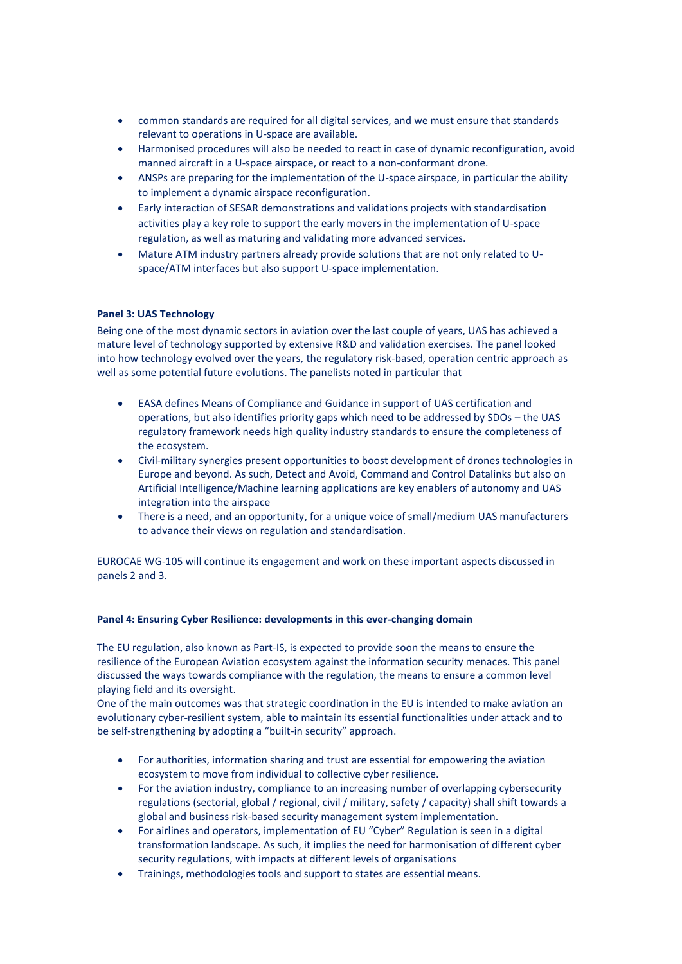- common standards are required for all digital services, and we must ensure that standards relevant to operations in U-space are available.
- Harmonised procedures will also be needed to react in case of dynamic reconfiguration, avoid manned aircraft in a U-space airspace, or react to a non-conformant drone.
- ANSPs are preparing for the implementation of the U-space airspace, in particular the ability to implement a dynamic airspace reconfiguration.
- Early interaction of SESAR demonstrations and validations projects with standardisation activities play a key role to support the early movers in the implementation of U-space regulation, as well as maturing and validating more advanced services.
- Mature ATM industry partners already provide solutions that are not only related to Uspace/ATM interfaces but also support U-space implementation.

## **Panel 3: UAS Technology**

Being one of the most dynamic sectors in aviation over the last couple of years, UAS has achieved a mature level of technology supported by extensive R&D and validation exercises. The panel looked into how technology evolved over the years, the regulatory risk-based, operation centric approach as well as some potential future evolutions. The panelists noted in particular that

- EASA defines Means of Compliance and Guidance in support of UAS certification and operations, but also identifies priority gaps which need to be addressed by SDOs – the UAS regulatory framework needs high quality industry standards to ensure the completeness of the ecosystem.
- Civil-military synergies present opportunities to boost development of drones technologies in Europe and beyond. As such, Detect and Avoid, Command and Control Datalinks but also on Artificial Intelligence/Machine learning applications are key enablers of autonomy and UAS integration into the airspace
- There is a need, and an opportunity, for a unique voice of small/medium UAS manufacturers to advance their views on regulation and standardisation.

EUROCAE WG-105 will continue its engagement and work on these important aspects discussed in panels 2 and 3.

#### **Panel 4: Ensuring Cyber Resilience: developments in this ever-changing domain**

The EU regulation, also known as Part-IS, is expected to provide soon the means to ensure the resilience of the European Aviation ecosystem against the information security menaces. This panel discussed the ways towards compliance with the regulation, the means to ensure a common level playing field and its oversight.

One of the main outcomes was that strategic coordination in the EU is intended to make aviation an evolutionary cyber-resilient system, able to maintain its essential functionalities under attack and to be self-strengthening by adopting a "built-in security" approach.

- For authorities, information sharing and trust are essential for empowering the aviation ecosystem to move from individual to collective cyber resilience.
- For the aviation industry, compliance to an increasing number of overlapping cybersecurity regulations (sectorial, global / regional, civil / military, safety / capacity) shall shift towards a global and business risk-based security management system implementation.
- For airlines and operators, implementation of EU "Cyber" Regulation is seen in a digital transformation landscape. As such, it implies the need for harmonisation of different cyber security regulations, with impacts at different levels of organisations
- Trainings, methodologies tools and support to states are essential means.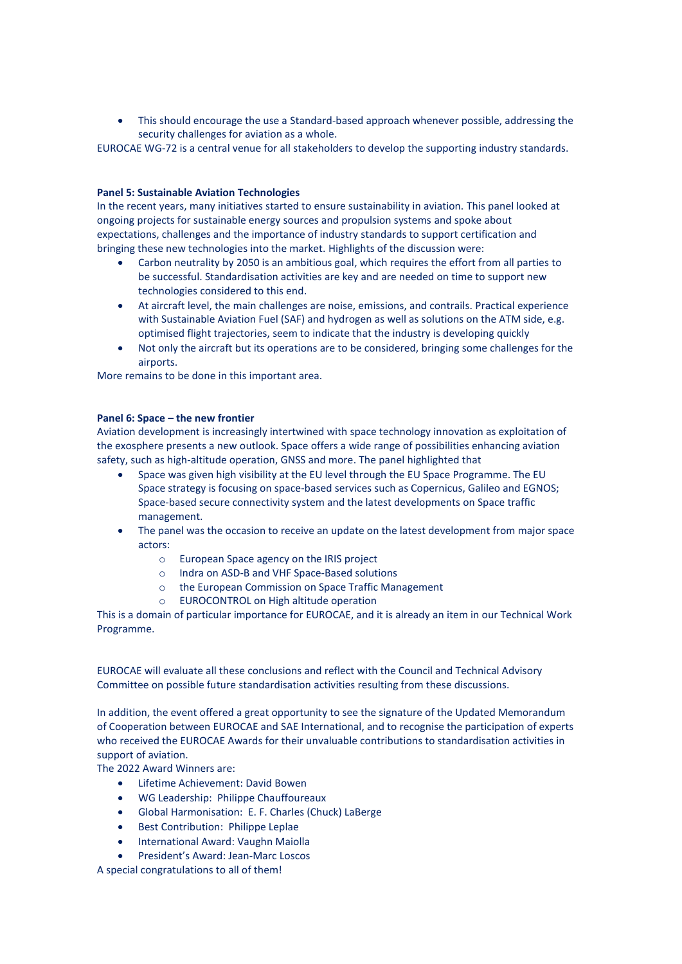• This should encourage the use a Standard-based approach whenever possible, addressing the security challenges for aviation as a whole.

EUROCAE WG-72 is a central venue for all stakeholders to develop the supporting industry standards.

## **Panel 5: Sustainable Aviation Technologies**

In the recent years, many initiatives started to ensure sustainability in aviation. This panel looked at ongoing projects for sustainable energy sources and propulsion systems and spoke about expectations, challenges and the importance of industry standards to support certification and bringing these new technologies into the market. Highlights of the discussion were:

- Carbon neutrality by 2050 is an ambitious goal, which requires the effort from all parties to be successful. Standardisation activities are key and are needed on time to support new technologies considered to this end.
- At aircraft level, the main challenges are noise, emissions, and contrails. Practical experience with Sustainable Aviation Fuel (SAF) and hydrogen as well as solutions on the ATM side, e.g. optimised flight trajectories, seem to indicate that the industry is developing quickly
- Not only the aircraft but its operations are to be considered, bringing some challenges for the airports.

More remains to be done in this important area.

#### **Panel 6: Space – the new frontier**

Aviation development is increasingly intertwined with space technology innovation as exploitation of the exosphere presents a new outlook. Space offers a wide range of possibilities enhancing aviation safety, such as high-altitude operation, GNSS and more. The panel highlighted that

- Space was given high visibility at the EU level through the EU Space Programme. The EU Space strategy is focusing on space-based services such as Copernicus, Galileo and EGNOS; Space-based secure connectivity system and the latest developments on Space traffic management.
- The panel was the occasion to receive an update on the latest development from major space actors:
	- o European Space agency on the IRIS project
	- o Indra on ASD-B and VHF Space-Based solutions
	- o the European Commission on Space Traffic Management
	- o EUROCONTROL on High altitude operation

This is a domain of particular importance for EUROCAE, and it is already an item in our Technical Work Programme.

EUROCAE will evaluate all these conclusions and reflect with the Council and Technical Advisory Committee on possible future standardisation activities resulting from these discussions.

In addition, the event offered a great opportunity to see the signature of the Updated Memorandum of Cooperation between EUROCAE and SAE International, and to recognise the participation of experts who received the EUROCAE Awards for their unvaluable contributions to standardisation activities in support of aviation.

The 2022 Award Winners are:

- Lifetime Achievement: David Bowen
- WG Leadership: Philippe Chauffoureaux
- Global Harmonisation: E. F. Charles (Chuck) LaBerge
- Best Contribution: Philippe Leplae
- International Award: Vaughn Maiolla
- President's Award: Jean-Marc Loscos

A special congratulations to all of them!